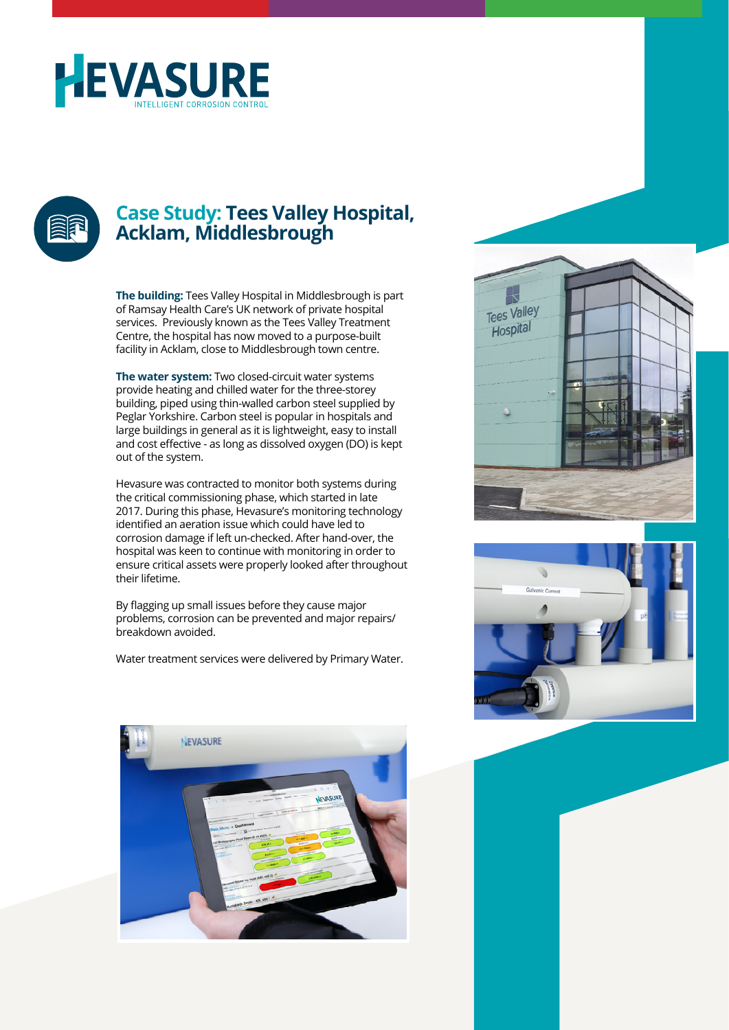



### **Case Study: Tees Valley Hospital, Acklam, Middlesbrough**

**The building:** Tees Valley Hospital in Middlesbrough is part of Ramsay Health Care's UK network of private hospital services. Previously known as the Tees Valley Treatment Centre, the hospital has now moved to a purpose-built facility in Acklam, close to Middlesbrough town centre.

**The water system:** Two closed-circuit water systems provide heating and chilled water for the three-storey building, piped using thin-walled carbon steel supplied by Peglar Yorkshire. Carbon steel is popular in hospitals and large buildings in general as it is lightweight, easy to install and cost effective - as long as dissolved oxygen (DO) is kept out of the system.

Hevasure was contracted to monitor both systems during the critical commissioning phase, which started in late 2017. During this phase, Hevasure's monitoring technology identified an aeration issue which could have led to corrosion damage if left un-checked. After hand-over, the hospital was keen to continue with monitoring in order to ensure critical assets were properly looked after throughout their lifetime.

By flagging up small issues before they cause major problems, corrosion can be prevented and major repairs/ breakdown avoided.

Water treatment services were delivered by Primary Water.





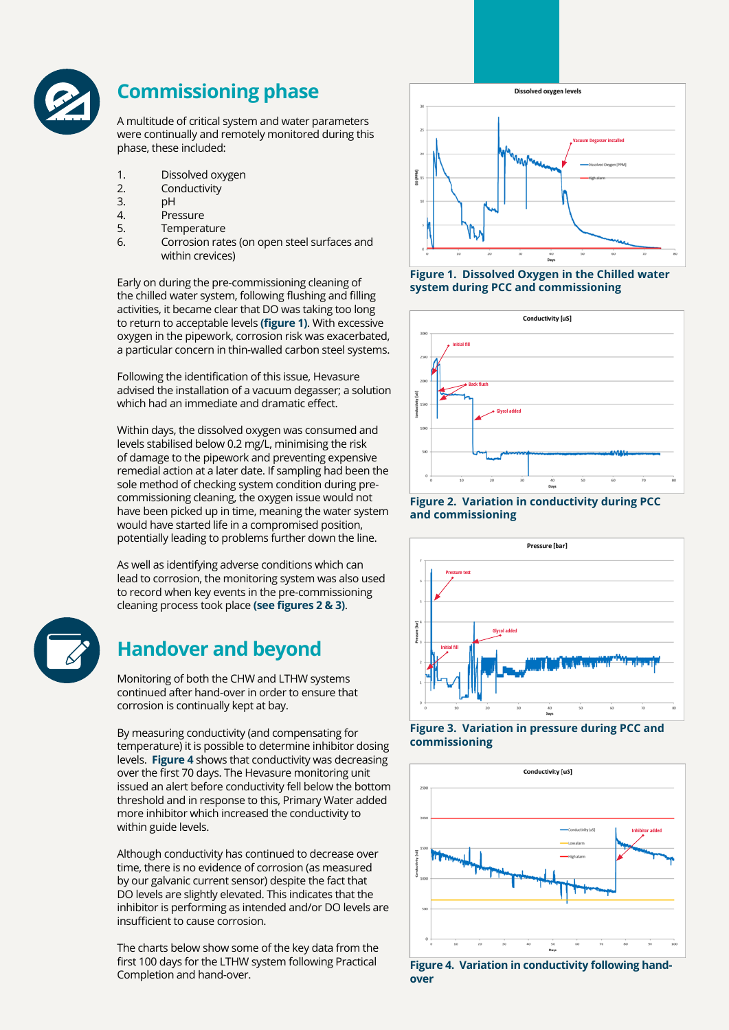

# **Commissioning phase**

A multitude of critical system and water parameters were continually and remotely monitored during this phase, these included:

- 1. Dissolved oxygen
- 2. Conductivity
- 3. pH
- 4. Pressure
- 5. Temperature
- 6. Corrosion rates (on open steel surfaces and within crevices)

Early on during the pre-commissioning cleaning of the chilled water system, following flushing and filling activities, it became clear that DO was taking too long to return to acceptable levels **(figure 1)**. With excessive oxygen in the pipework, corrosion risk was exacerbated, a particular concern in thin-walled carbon steel systems.

Following the identification of this issue, Hevasure advised the installation of a vacuum degasser; a solution which had an immediate and dramatic effect.

Within days, the dissolved oxygen was consumed and levels stabilised below 0.2 mg/L, minimising the risk of damage to the pipework and preventing expensive remedial action at a later date. If sampling had been the sole method of checking system condition during precommissioning cleaning, the oxygen issue would not have been picked up in time, meaning the water system would have started life in a compromised position, potentially leading to problems further down the line.

As well as identifying adverse conditions which can lead to corrosion, the monitoring system was also used to record when key events in the pre-commissioning cleaning process took place **(see figures 2 & 3)**.



## **Handover and beyond**

Monitoring of both the CHW and LTHW systems continued after hand-over in order to ensure that corrosion is continually kept at bay.

By measuring conductivity (and compensating for temperature) it is possible to determine inhibitor dosing levels. **Figure 4** shows that conductivity was decreasing over the first 70 days. The Hevasure monitoring unit issued an alert before conductivity fell below the bottom threshold and in response to this, Primary Water added more inhibitor which increased the conductivity to within guide levels.

Although conductivity has continued to decrease over time, there is no evidence of corrosion (as measured by our galvanic current sensor) despite the fact that DO levels are slightly elevated. This indicates that the inhibitor is performing as intended and/or DO levels are insufficient to cause corrosion.

The charts below show some of the key data from the first 100 days for the LTHW system following Practical Completion and hand-over.



**Figure 1. Dissolved Oxygen in the Chilled water system during PCC and commissioning**











**Figure 4. Variation in conductivity following handover**